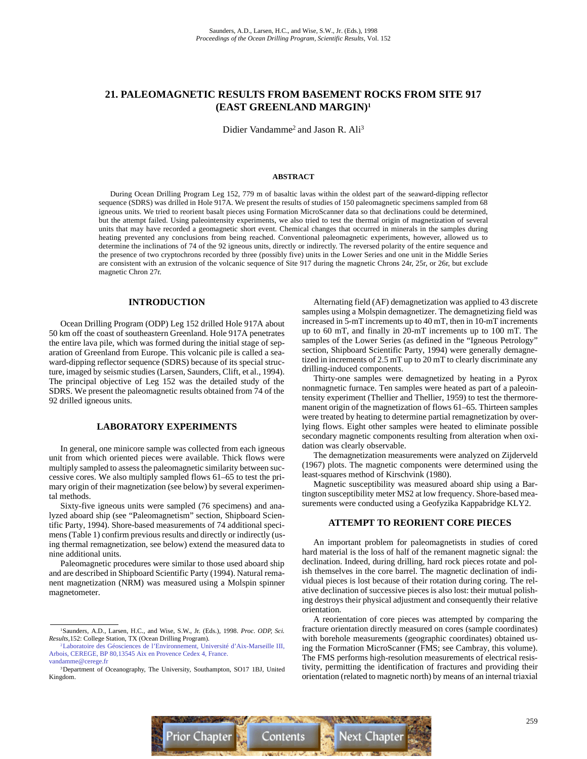# **21. PALEOMAGNETIC RESULTS FROM BASEMENT ROCKS FROM SITE 917 (EAST GREENLAND MARGIN)1**

Didier Vandamme<sup>2</sup> and Jason R. Ali<sup>3</sup>

### **ABSTRACT**

During Ocean Drilling Program Leg 152, 779 m of basaltic lavas within the oldest part of the seaward-dipping reflector sequence (SDRS) was drilled in Hole 917A. We present the results of studies of 150 paleomagnetic specimens sampled from 68 igneous units. We tried to reorient basalt pieces using Formation MicroScanner data so that declinations could be determined, but the attempt failed. Using paleointensity experiments, we also tried to test the thermal origin of magnetization of several units that may have recorded a geomagnetic short event. Chemical changes that occurred in minerals in the samples during heating prevented any conclusions from being reached. Conventional paleomagnetic experiments, however, allowed us to determine the inclinations of 74 of the 92 igneous units, directly or indirectly. The reversed polarity of the entire sequence and the presence of two cryptochrons recorded by three (possibly five) units in the Lower Series and one unit in the Middle Series are consistent with an extrusion of the volcanic sequence of Site 917 during the magnetic Chrons 24r, 25r, or 26r, but exclude magnetic Chron 27r.

## **INTRODUCTION**

Ocean Drilling Program (ODP) Leg 152 drilled Hole 917A about 50 km off the coast of southeastern Greenland. Hole 917A penetrates the entire lava pile, which was formed during the initial stage of separation of Greenland from Europe. This volcanic pile is called a seaward-dipping reflector sequence (SDRS) because of its special structure, imaged by seismic studies (Larsen, Saunders, Clift, et al., 1994). The principal objective of Leg 152 was the detailed study of the SDRS. We present the paleomagnetic results obtained from 74 of the 92 drilled igneous units.

# **LABORATORY EXPERIMENTS**

In general, one minicore sample was collected from each igneous unit from which oriented pieces were available. Thick flows were multiply sampled to assess the paleomagnetic similarity between successive cores. We also multiply sampled flows 61–65 to test the primary origin of their magnetization (see below) by several experimental methods.

Sixty-five igneous units were sampled (76 specimens) and analyzed aboard ship (see "Paleomagnetism" section, Shipboard Scientific Party, 1994). Shore-based measurements of 74 additional specimens (Table 1) confirm previous results and directly or indirectly (using thermal remagnetization, see below) extend the measured data to nine additional units.

Paleomagnetic procedures were similar to those used aboard ship and are described in Shipboard Scientific Party (1994). Natural remanent magnetization (NRM) was measured using a Molspin spinner magnetometer.

Alternating field (AF) demagnetization was applied to 43 discrete samples using a Molspin demagnetizer. The demagnetizing field was increased in 5-mT increments up to 40 mT, then in 10-mT increments up to 60 mT, and finally in 20-mT increments up to 100 mT. The samples of the Lower Series (as defined in the "Igneous Petrology" section, Shipboard Scientific Party, 1994) were generally demagnetized in increments of 2.5 mT up to 20 mT to clearly discriminate any drilling-induced components.

Thirty-one samples were demagnetized by heating in a Pyrox nonmagnetic furnace. Ten samples were heated as part of a paleointensity experiment (Thellier and Thellier, 1959) to test the thermoremanent origin of the magnetization of flows 61–65. Thirteen samples were treated by heating to determine partial remagnetization by overlying flows. Eight other samples were heated to eliminate possible secondary magnetic components resulting from alteration when oxidation was clearly observable.

The demagnetization measurements were analyzed on Zijderveld (1967) plots. The magnetic components were determined using the least-squares method of Kirschvink (1980).

Magnetic susceptibility was measured aboard ship using a Bartington susceptibility meter MS2 at low frequency. Shore-based measurements were conducted using a Geofyzika Kappabridge KLY2.

## **ATTEMPT TO REORIENT CORE PIECES**

An important problem for paleomagnetists in studies of cored hard material is the loss of half of the remanent magnetic signal: the declination. Indeed, during drilling, hard rock pieces rotate and polish themselves in the core barrel. The magnetic declination of individual pieces is lost because of their rotation during coring. The relative declination of successive pieces is also lost: their mutual polishing destroys their physical adjustment and consequently their relative orientation.

A reorientation of core pieces was attempted by comparing the fracture orientation directly measured on cores (sample coordinates) with borehole measurements (geographic coordinates) obtained using the Formation MicroScanner (FMS; see Cambray, this volume). The FMS performs high-resolution measurements of electrical resistivity, permitting the identification of fractures and providing their orientation (related to magnetic north) by means of an internal triaxial



<sup>1</sup>Saunders, A.D., Larsen, H.C., and Wise, S.W., Jr. (Eds.), 1998. *Proc. ODP, Sci. Results,*152: College Station, TX (Ocean Drilling Program).

[<sup>2</sup>Laboratoire des Géosciences de l'Environnement, Université d'Aix-Marseille III,](mailto:vandamme@cerege.fr) Arbois, CEREGE, BP 80,13545 Aix en Provence Cedex 4, France. vandamme@cerege.fr

<sup>&</sup>lt;sup>3</sup>Department of Oceanography, The University, Southampton, SO17 1BJ, United Kingdom.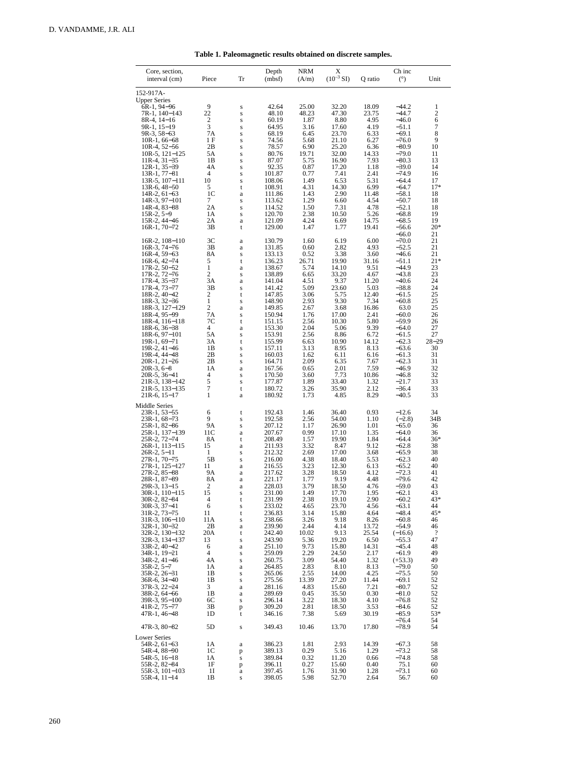| Core, section,                                                                                                                                                                                                                                                                                                                                                                                                                                                                                                                                                   |                                                                                                                                                                                              |                                                                                                                                                                                       | Depth                                                                                                                                                                                                                                                                                                              | <b>NRM</b>                                                                                                                                                                                                                                             | Х                                                                                                                                                                                                                                                                            |                                                                                                                                                                                                                                                           | Ch inc                                                                                                                                                                                                                                                                                                                                                          |                                                                                                                                                                                                                           |
|------------------------------------------------------------------------------------------------------------------------------------------------------------------------------------------------------------------------------------------------------------------------------------------------------------------------------------------------------------------------------------------------------------------------------------------------------------------------------------------------------------------------------------------------------------------|----------------------------------------------------------------------------------------------------------------------------------------------------------------------------------------------|---------------------------------------------------------------------------------------------------------------------------------------------------------------------------------------|--------------------------------------------------------------------------------------------------------------------------------------------------------------------------------------------------------------------------------------------------------------------------------------------------------------------|--------------------------------------------------------------------------------------------------------------------------------------------------------------------------------------------------------------------------------------------------------|------------------------------------------------------------------------------------------------------------------------------------------------------------------------------------------------------------------------------------------------------------------------------|-----------------------------------------------------------------------------------------------------------------------------------------------------------------------------------------------------------------------------------------------------------|-----------------------------------------------------------------------------------------------------------------------------------------------------------------------------------------------------------------------------------------------------------------------------------------------------------------------------------------------------------------|---------------------------------------------------------------------------------------------------------------------------------------------------------------------------------------------------------------------------|
| interval (cm)                                                                                                                                                                                                                                                                                                                                                                                                                                                                                                                                                    | Piece                                                                                                                                                                                        | Tr                                                                                                                                                                                    | (mbf)                                                                                                                                                                                                                                                                                                              | (A/m)                                                                                                                                                                                                                                                  | $(10^{-3} S I)$                                                                                                                                                                                                                                                              | Q ratio                                                                                                                                                                                                                                                   | (°)                                                                                                                                                                                                                                                                                                                                                             | Unit                                                                                                                                                                                                                      |
| 152-917A-<br><b>Upper Series</b><br>6R-1, 94-96<br>7R-1, 140-143<br>8R-4, 14–16<br>9R-1, 15–19<br>9R-3, 58–63<br>$10R-1, 66-68$<br>$10R-4, 52-56$<br>$10R-5$ , $121-125$<br>$11R-4, 31-35$<br>$12R-1, 35-39$<br>$13R-1, 77-81$<br>$13R-5$ , $107-111$<br>$13R-6, 48-50$<br>$14R-2, 61-63$<br>$14R-3, 97-101$<br>14R-4, 83-88<br>$15R-2, 5-9$<br>15R-2, 44–46<br>16R-1, 70-72                                                                                                                                                                                     | 9<br>22<br>2<br>3<br>7Α<br>1 F<br>2B<br>5Α<br>1B<br>4A<br>4<br>10<br>5<br>1C<br>7<br>2A<br>1A<br>2Α<br>3B                                                                                    | S<br>Š<br>Ś<br>Š<br>Š<br>Ś<br>Š<br>S<br>Ś<br>Š<br>Š<br>Ś<br>t<br>a<br>S<br>Š<br>Š<br>a<br>t                                                                                           | 42.64<br>48.10<br>60.19<br>64.95<br>68.19<br>74.56<br>78.57<br>80.76<br>87.07<br>92.35<br>101.87<br>108.06<br>108.91<br>111.86<br>113.62<br>114.52<br>120.70<br>121.09<br>129.00                                                                                                                                   | 25.00<br>48.23<br>1.87<br>3.16<br>6.45<br>5.68<br>6.90<br>19.71<br>5.75<br>0.87<br>0.77<br>1.49<br>4.31<br>1.43<br>1.29<br>1.50<br>2.38<br>4.24<br>1.47                                                                                                | 32.20<br>47.30<br>8.80<br>17.60<br>23.70<br>21.10<br>25.20<br>32.00<br>16.90<br>17.20<br>7.41<br>6.53<br>14.30<br>2.90<br>6.60<br>7.31<br>10.50<br>6.69<br>1.77                                                                                                              | 18.09<br>23.75<br>4.95<br>4.19<br>6.33<br>6.27<br>6.36<br>14.33<br>7.93<br>1.18<br>2.41<br>5.31<br>6.99<br>11.48<br>4.54<br>4.78<br>5.26<br>14.75<br>19.41                                                                                                | $-44.2$<br>$-44.7$<br>$-46.0$<br>$-51.1$<br>$-69.1$<br>$-76.0$<br>$-80.9$<br>$-79.0$<br>$-80.3$<br>$-39.0$<br>$-74.9$<br>$-64.4$<br>$-64.7$<br>$-58.1$<br>$-50.7$<br>$-52.1$<br>$-68.8$<br>$-68.5$<br>$-56.6$<br>$-66.0$                                                                                                                                        | 1<br>$\overline{c}$<br>6<br>7<br>8<br>9<br>10<br>11<br>13<br>14<br>16<br>17<br>$17*$<br>18<br>18<br>18<br>19<br>19<br>$20*$<br>21                                                                                         |
| 16R-2, 108-110<br>16R-3, 74-76<br>16R-4, 59-63<br>$16R-6.42-74$<br>17R-2, 50-52<br>17R-2, 72-76<br>$17R-4.35-37$<br>17R-4, 73-77<br>18R-2, 40-42<br>18R-3, 32–36<br>18R-3, 127-129<br>18R-4, 95-99<br>18R-4, 116-118<br>18R-6, 36-38<br>18R-6, 97-101<br>19R-1, 69–71<br>19R-2, 41-46<br>19R-4, 44-48<br>20R-1, 21-26<br>$20R-3, 6-8$<br>20R-5, 36-41<br>21R-3, 138-142<br>21R-5, 133–135<br>$21R-6$ , $15-17$                                                                                                                                                   | 3C<br>3B<br>8Α<br>5<br>1<br>$\overline{c}$<br>3A<br>3В<br>$\overline{c}$<br>$\mathbf{1}$<br>2<br>7A<br>7С<br>4<br>5A<br>3A<br>1B<br>2B<br>2B<br>1A<br>4<br>5<br>7<br>1                       | a<br>a<br>Š<br>t<br>a<br>Š<br>a<br>Š<br>t<br>S<br>a<br>Š<br>t<br>a<br>S<br>t<br>S<br>Š<br>S<br>a<br>S<br>S<br>t<br>a                                                                  | 130.79<br>131.85<br>133.13<br>136.23<br>138.67<br>138.89<br>141.04<br>141.42<br>147.85<br>148.90<br>149.85<br>150.94<br>151.15<br>153.30<br>153.91<br>155.99<br>157.11<br>160.03<br>164.71<br>167.56<br>170.50<br>177.87<br>180.72<br>180.92                                                                       | 1.60<br>0.60<br>0.52<br>26.71<br>5.74<br>6.65<br>4.51<br>5.09<br>3.06<br>2.93<br>2.67<br>1.76<br>2.56<br>2.04<br>2.56<br>6.63<br>3.13<br>1.62<br>2.09<br>0.65<br>3.60<br>1.89<br>3.26<br>1.73                                                          | 6.19<br>2.82<br>3.38<br>19.90<br>14.10<br>33.20<br>9.37<br>23.60<br>5.75<br>9.30<br>3.68<br>17.00<br>10.30<br>5.06<br>8.86<br>10.90<br>8.95<br>6.11<br>6.35<br>2.01<br>7.73<br>33.40<br>35.90<br>4.85                                                                        | 6.00<br>4.93<br>3.60<br>31.16<br>9.51<br>4.67<br>11.20<br>5.03<br>12.40<br>7.34<br>16.86<br>2.41<br>5.80<br>9.39<br>6.72<br>14.12<br>8.13<br>6.16<br>7.67<br>7.59<br>10.86<br>1.32<br>2.12<br>8.29                                                        | $-70.0$<br>$-52.5$<br>$-46.6$<br>$-51.1$<br>$-44.9$<br>$-43.8$<br>$-40.6$<br>$-38.8$<br>$-61.5$<br>$-60.8$<br>63.0<br>$-60.0$<br>$-59.9$<br>$-64.0$<br>$-61.5$<br>$-62.3$<br>$-63.6$<br>$-61.3$<br>$-62.3$<br>$-46.9$<br>$-46.8$<br>$-21.7$<br>$-36.4$<br>$-40.5$                                                                                               | 21<br>21<br>21<br>$21*$<br>23<br>23<br>24<br>24<br>25<br>25<br>25<br>26<br>26<br>27<br>27<br>$28 - 29$<br>30<br>31<br>31<br>32<br>32<br>33<br>33<br>33                                                                    |
| Middle Series<br>23R-1, 53-55<br>23R-1, 68–73<br>25R-1, 82–86<br>25R-1, 137-139<br>25R-2, 72-74<br>26R-1, 113-115<br>$26R-2, 5-11$<br>27R-1, 70–75<br>27R-1, 125-127<br>27R-2, 85-88<br>28R-1, 87-89<br>29R-3, 13-15<br>30R-1, 110–115<br>30R-2, 82–84<br>30R-3, 37-41<br>31R-2, 73-75<br>31R-3, 106-110<br>$32R-1, 30-32$<br>32R-2, 130-132<br>32R-3, 134-137<br>33R-2, 40-42<br>34R-1, 19-21<br>34R-2, 41-46<br>$35R-2, 5-7$<br>$35R-2, 26-31$<br>$36R-6$ , $34-40$<br>$37R-3$ , $22-24$<br>$38R-2, 64-66$<br>$39R-3.95-100$<br>$41R-2, 75-77$<br>47R-1, 46-48 | 6<br>9<br>9A<br>11C<br>8Α<br>15<br>1<br>5B<br>11<br>9Α<br>8A<br>2<br>15<br>4<br>6<br>11<br>11A<br>2B<br>20A<br>13<br>6<br>4<br>4A<br>1A<br>1B<br>1B<br>3<br>1B<br>6С<br>3B<br>1 <sub>D</sub> | t<br>S<br>S<br>a<br>t<br>a<br>S<br>S<br>a<br>a<br>a<br>a<br>$\bf S$<br>t<br>S<br>t<br>S<br>a<br>t<br>S<br>a<br>$\bf S$<br>S<br>a<br>$\bf S$<br>$\bf S$<br>a<br>a<br>$\bf S$<br>p<br>t | 192.43<br>192.58<br>207.12<br>207.67<br>208.49<br>211.93<br>212.32<br>216.00<br>216.55<br>217.62<br>221.17<br>228.03<br>231.00<br>231.99<br>233.02<br>236.83<br>238.66<br>239.90<br>242.40<br>243.90<br>251.10<br>259.09<br>260.75<br>264.85<br>265.06<br>275.56<br>281.16<br>289.69<br>296.14<br>309.20<br>346.16 | 1.46<br>2.56<br>1.17<br>0.99<br>1.57<br>3.32<br>2.69<br>4.38<br>3.23<br>3.28<br>1.77<br>3.79<br>1.49<br>2.38<br>4.65<br>3.14<br>3.26<br>2.44<br>10.02<br>5.36<br>9.73<br>2.29<br>3.09<br>2.83<br>2.55<br>13.39<br>4.83<br>0.45<br>3.22<br>2.81<br>7.38 | 36.40<br>54.00<br>26.90<br>17.10<br>19.90<br>8.47<br>17.00<br>18.40<br>12.30<br>18.50<br>9.19<br>18.50<br>17.70<br>19.10<br>23.70<br>15.80<br>9.18<br>4.14<br>9.13<br>19.20<br>15.80<br>24.50<br>54.40<br>8.10<br>14.00<br>27.20<br>15.60<br>35.50<br>18.30<br>18.50<br>5.69 | 0.93<br>1.10<br>1.01<br>1.35<br>1.84<br>9.12<br>3.68<br>5.53<br>6.13<br>4.12<br>4.48<br>4.76<br>1.95<br>2.90<br>4.56<br>4.64<br>8.26<br>13.72<br>25.54<br>6.50<br>14.31<br>2.17<br>1.32<br>8.13<br>4.25<br>11.44<br>7.21<br>0.30<br>4.10<br>3.53<br>30.19 | $-12.6$<br>$(-2.8)$<br>$-65.0$<br>$-64.0$<br>$-64.4$<br>$-62.8$<br>$-65.9$<br>$-62.3$<br>$-65.2$<br>$-72.3$<br>$-79.6$<br>$-59.0$<br>$-62.1$<br>$-60.2$<br>$-63.1$<br>$-48.4$<br>$-60.8$<br>$-54.9$<br>$(-16.6)$<br>-55.3<br>$-45.4$<br>$-61.9$<br>$(+53.3)$<br>$-79.0$<br>$-75.5$<br>$-69.1$<br>$-80.7$<br>$-81.0$<br>$-76.8$<br>$-84.6$<br>$-85.9$<br>$-76.4$ | 34<br>34B<br>36<br>36<br>$36*$<br>38<br>38<br>40<br>40<br>41<br>42<br>43<br>43<br>43*<br>44<br>45*<br>46<br>46<br>$\overline{\mathcal{L}}$<br>47<br>48<br>49<br>49<br>50<br>50<br>52<br>52<br>52<br>52<br>52<br>53*<br>54 |
| $47R-3, 80-82$<br><b>Lower Series</b>                                                                                                                                                                                                                                                                                                                                                                                                                                                                                                                            | 5D                                                                                                                                                                                           | $\bf S$                                                                                                                                                                               | 349.43                                                                                                                                                                                                                                                                                                             | 10.46                                                                                                                                                                                                                                                  | 13.70                                                                                                                                                                                                                                                                        | 17.80                                                                                                                                                                                                                                                     | $-78.9$                                                                                                                                                                                                                                                                                                                                                         | 54                                                                                                                                                                                                                        |
| $54R-2, 61-63$<br>54R-4, 88-90<br>$54R-5, 16-18$<br>55R-2, 82-84<br>$55R-3$ , $101-103$<br>$55R-4$ , $11-14$                                                                                                                                                                                                                                                                                                                                                                                                                                                     | 1A<br>1C<br>1А<br>1F<br>11<br>1B                                                                                                                                                             | a<br>p<br>$\bf S$<br>p<br>$\rm{a}$<br>$\bf S$                                                                                                                                         | 386.23<br>389.13<br>389.84<br>396.11<br>397.45<br>398.05                                                                                                                                                                                                                                                           | 1.81<br>0.29<br>0.32<br>0.27<br>1.76<br>5.98                                                                                                                                                                                                           | 2.93<br>5.16<br>11.20<br>15.60<br>31.90<br>52.70                                                                                                                                                                                                                             | 14.39<br>1.29<br>0.66<br>0.40<br>1.28<br>2.64                                                                                                                                                                                                             | $-67.3$<br>$-73.2$<br>$-74.8$<br>75.1<br>$-73.1$<br>56.7                                                                                                                                                                                                                                                                                                        | 58<br>58<br>58<br>60<br>60<br>60                                                                                                                                                                                          |

Table 1. Paleomagnetic results obtained on discrete samples.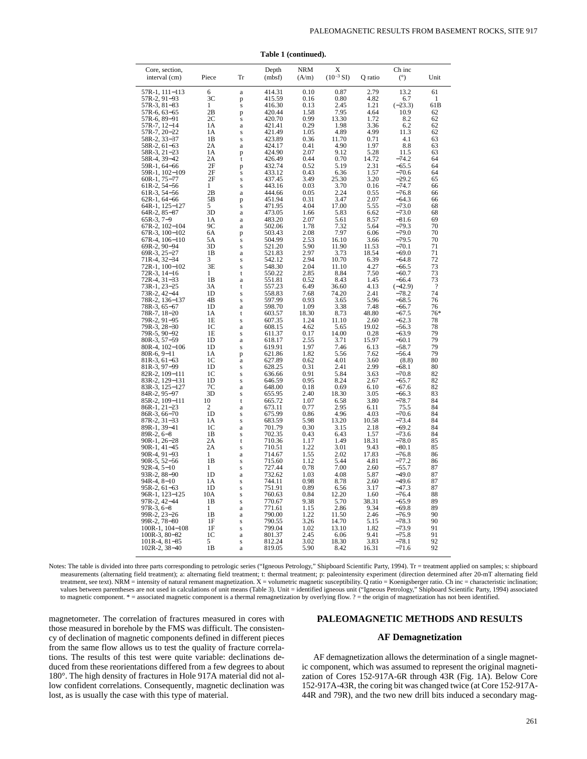| Core, section,                   |                |               | Depth            | <b>NRM</b>    | Х             |               | Ch inc             |                          |
|----------------------------------|----------------|---------------|------------------|---------------|---------------|---------------|--------------------|--------------------------|
| interval (cm)                    | Piece          | Tr            | (mbsf)           | (A/m)         | $(10^{-3} S)$ | Q ratio       | (°)                | Unit                     |
|                                  |                |               |                  |               |               |               |                    |                          |
| 57R-1, 111–113<br>57R-2, 91–93   | 6<br>3C        | a             | 414.31<br>415.59 | 0.10<br>0.16  | 0.87<br>0.80  | 2.79<br>4.82  | 13.2<br>6.7        | 61<br>1                  |
| 57R-3, 81-83                     | 1              | p<br>S        | 416.30           | 0.13          | 2.45          | 1.21          | $(-23.3)$          | 61B                      |
| 57R-6, 63–65                     | 2В             | p             | 420.44           | 1.58          | 7.95          | 4.64          | 10.9               | 62                       |
| 57R-6, 89-91                     | 2С             | S             | 420.70           | 0.99          | 13.30         | 1.72          | 8.2                | 62                       |
| 57R-7, 12-14                     | 1А             | a             | 421.41           | 0.29          | 1.98          | 3.36          | 6.2                | 62                       |
| 57R-7, 20-22                     | 1А<br>1B       | s             | 421.49           | 1.05          | 4.89<br>11.70 | 4.99<br>0.71  | 11.3<br>4.1        | 62                       |
| 58R-2, 33-37<br>58R-2, 61-63     | 2A             | S<br>a        | 423.89<br>424.17 | 0.36<br>0.41  | 4.90          | 1.97          | 8.8                | 63<br>63                 |
| 58R-3, 21-23                     | 1A             | p             | 424.90           | 2.07          | 9.12          | 5.28          | 11.5               | 63                       |
| 58R-4, 39-42                     | 2A             | t             | 426.49           | 0.44          | 0.70          | 14.72         | $-74.2$            | 64                       |
| 59R-1, 64-66                     | 2F             | p             | 432.74           | 0.52          | 5.19          | 2.31          | $-65.5$            | 64                       |
| 59R-1, 102-109                   | 2F             | S             | 433.12           | 0.43          | 6.36          | 1.57          | $-70.6$            | 64                       |
| 60R-1, 75-77                     | 2F             | S<br>s        | 437.45<br>443.16 | 3.49<br>0.03  | 25.30<br>3.70 | 3.20<br>0.16  | $-29.2$<br>$-74.7$ | 65<br>66                 |
| 61R-2, 54-56<br>61R-3, 54-56     | 2B             | a             | 444.66           | 0.05          | 2.24          | 0.55          | $-76.8$            | 66                       |
| $62R-1, 64-66$                   | 5Β             | p             | 451.94           | 0.31          | 3.47          | 2.07          | -64.3              | 66                       |
| $64R-1$ , $125-127$              | 5              | s             | 471.95           | 4.04          | 17.00         | 5.55          | $-73.0$            | 68                       |
| $64R-2, 85-87$                   | 3D             | a             | 473.05           | 1.66          | 5.83          | 6.62          | $-73.0$            | 68                       |
| 65R-3, 7-9                       | 1А             | a             | 483.20           | 2.07          | 5.61          | 8.57          | $-81.6$<br>$-79.3$ | 69                       |
| 67R-2, 102-104<br>67R-3, 100-102 | 9С<br>6A       | a<br>p        | 502.06<br>503.43 | 1.78<br>2.08  | 7.32<br>7.97  | 5.64<br>6.06  | $-79.0$            | 70<br>70                 |
| 67R-4, 106-110                   | 5Α             | S             | 504.99           | 2.53          | 16.10         | 3.66          | $-79.5$            | 70                       |
| 69R-2, 90-94                     | 3D             | s             | 521.20           | 5.90          | 11.90         | 11.53         | $-70.1$            | 71                       |
| 69R-3, 25-27                     | 1B             | a             | 521.83           | 2.97          | 3.73          | 18.54         | $-69.0$            | 71                       |
| 71R-4, 32–34                     | 3              | S             | 542.12           | 2.94          | 10.70         | 6.39          | $-64.8$            | 72                       |
| 72R-1, 100-102                   | 3Ε<br>1        | s<br>t        | 548.30<br>550.22 | 2.04<br>2.85  | 11.10<br>8.84 | 4.27<br>7.50  | $-66.5$<br>$-60.7$ | 73<br>73                 |
| 72R-3, 14–16<br>72R-4, 31–33     | 1B             | a             | 551.81           | 0.52          | 8.43          | 1.45          | -66.4              | 73                       |
| 73R-1, 23-25                     | 3A             | t             | 557.23           | 6.49          | 36.60         | 4.13          | $(-42.9)$          | $\overline{\mathcal{L}}$ |
| 73R-2, 42–44                     | 1D             | S             | 558.83           | 7.68          | 74.20         | 2.41          | -78.2              | 74                       |
| 78R-2, 136-137                   | 4B             | s             | 597.99           | 0.93          | 3.65          | 5.96          | $-68.5$            | 76                       |
| 78R-3, 65-67                     | 1D             | a             | 598.70           | 1.09          | 3.38          | 7.48          | $-66.7$            | 76                       |
| 78R-7, 18-20<br>79R-2, 91-95     | 1А<br>1E       | t<br>S        | 603.57<br>607.35 | 18.30<br>1.24 | 8.73<br>11.10 | 48.80<br>2.60 | $-67.5$<br>$-62.3$ | $76*$<br>78              |
| 79R-3, 28-30                     | 1 <sup>C</sup> | a             | 608.15           | 4.62          | 5.65          | 19.02         | $-56.3$            | 78                       |
| 79R-5, 90-92                     | 1E             | s             | 611.37           | 0.17          | 14.00         | 0.28          | $-63.9$            | 79                       |
| 80R-3, 57-59                     | 1 <sub>D</sub> | a             | 618.17           | 2.55          | 3.71          | 15.97         | $-60.1$            | 79                       |
| 80R-4, 102-106                   | 1D             | S             | 619.91           | 1.97          | 7.46          | 6.13          | $-58.7$            | 79                       |
| $80R-6, 9-11$<br>$81R-3, 61-63$  | 1Α<br>1C       | p<br>$\rm{a}$ | 621.86<br>627.89 | 1.82<br>0.62  | 5.56<br>4.01  | 7.62<br>3.60  | -56.4<br>(8.8)     | 79<br>80                 |
| 81R-3, 97–99                     | 1D             | S             | 628.25           | 0.31          | 2.41          | 2.99          | -68.1              | 80                       |
| 82R-2, 109-111                   | 1C             | S             | 636.66           | 0.91          | 5.84          | 3.63          | –70.8              | 82                       |
| 83R-2, 129-131                   | 1D             | S             | 646.59           | 0.95          | 8.24          | 2.67          | $-65.7$            | 82                       |
| 83R-3, 125–127                   | 7С             | a             | 648.00           | 0.18          | 0.69          | 6.10          | $-67.6$            | 82                       |
| 84R-2, 95-97<br>85R-2, 109-111   | 3D<br>10       | S<br>t        | 655.95<br>665.72 | 2.40<br>1.07  | 18.30<br>6.58 | 3.05<br>3.80  | $-66.3$<br>$-78.7$ | 83<br>84                 |
| $86R-1, 21-23$                   | 2              | a             | 673.11           | 0.77          | 2.95          | 6.11          | 75.5               | 84                       |
| 86R-3, 66-70                     | 1D             | S             | 675.99           | 0.86          | 4.96          | 4.03          | $-70.6$            | 84                       |
| 87R-2, 31-33                     | 1Α             | S             | 683.59           | 5.98          | 13.20         | 10.58         | $-73.4$            | 84                       |
| 89R-1, 39-41                     | 1C             | a             | 701.79           | 0.30          | 3.15          | 2.18          | $-69.2$            | 84                       |
| $89R-2, 6-8$                     | 1B             | S             | 702.35           | 0.43          | 6.43          | 1.57          | $-73.6$            | 84                       |
| $90R-1, 26-28$<br>$90R-1, 41-45$ | 2Α<br>2Α       | t<br>S        | 710.36<br>710.51 | 1.17<br>1.22  | 1.49<br>3.01  | 18.31<br>9.43 | $-78.0$<br>$-80.1$ | 85<br>85                 |
| 90R-4, 91-93                     | 1              | a             | 714.67           | 1.55          | 2.02          | 17.83         | –76.8              | 86                       |
| $90R-5, 52-56$                   | 1B             | S             | 715.60           | 1.12          | 5.44          | 4.81          | $-77.2$            | 86                       |
| $92R-4, 5-10$                    | 1              | S             | 727.44           | 0.78          | 7.00          | 2.60          | -55.7              | 87                       |
| 93R-2, 88-90                     | 1 <sub>D</sub> | a             | 732.62           | 1.03          | 4.08          | 5.87          | $-49.0$            | 87                       |
| $94R-4.8-10$<br>$95R-2, 61-63$   | 1Α<br>1D       | S             | 744.11<br>751.91 | 0.98<br>0.89  | 8.78<br>6.56  | 2.60<br>3.17  | $-49.6$<br>$-47.3$ | 87<br>87                 |
| 96R-1, 123-125                   | 10A            | S<br>S        | 760.63           | 0.84          | 12.20         | 1.60          | $-76.4$            | 88                       |
| 97R-2, 42-44                     | 1 <sub>B</sub> | S             | 770.67           | 9.38          | 5.70          | 38.31         | $-65.9$            | 89                       |
| $97R-3, 6-8$                     | 1              | a             | 771.61           | 1.15          | 2.86          | 9.34          | $-69.8$            | 89                       |
| 99R-2, 23-26                     | 1B             | a             | 790.00           | 1.22          | 11.50         | 2.46          | $-76.9$            | 90                       |
| 99R-2, 78-80                     | 1F             | S             | 790.55           | 3.26          | 14.70         | 5.15          | -78.3              | 90<br>91                 |
| 100R-1, 104-108<br>100R-3, 80-82 | 1F<br>1C       | S<br>a        | 799.04<br>801.37 | 1.02<br>2.45  | 13.10<br>6.06 | 1.82<br>9.41  | –73.9<br>$-75.8$   | 91                       |
| $101R-4, 81-85$                  | 5              | S             | 812.24           | 3.02          | 18.30         | 3.83          | $-78.1$            | 92                       |
| $102R-2, 38-40$                  | 1B             | a             | 819.05           | 5.90          | 8.42          | 16.31         | $-71.6$            | 92                       |

**Table 1 (continued).**

Notes: The table is divided into three parts corresponding to petrologic series ("Igneous Petrology," Shipboard Scientific Party, 1994). Tr = treatment applied on samples; s: shipboard measurements (alternating field treatment); a: alternating field treatment; t: thermal treatment; p: paleointensity experiment (direction determined after 20-mT alternating field treatment, see text). NRM = intensity of natural remanent magnetization. X = volumetric magnetic susceptibility. Q ratio = Koenigsberger ratio. Ch inc = characteristic inclination; values between parentheses are not used in calculations of unit means (Table 3). Unit = identified igneous unit ("Igneous Petrology," Shipboard Scientific Party, 1994) associated to magnetic component. \* = associated magnetic component is a thermal remagnetization by overlying flow. ? = the origin of magnetization has not been identified.

magnetometer. The correlation of fractures measured in cores with those measured in borehole by the FMS was difficult. The consistency of declination of magnetic components defined in different pieces from the same flow allows us to test the quality of fracture correlations. The results of this test were quite variable: declinations deduced from these reorientations differed from a few degrees to about 180°. The high density of fractures in Hole 917A material did not allow confident correlations. Consequently, magnetic declination was lost, as is usually the case with this type of material.

## **PALEOMAGNETIC METHODS AND RESULTS**

## **AF Demagnetization**

AF demagnetization allows the determination of a single magnetic component, which was assumed to represent the original magnetization of Cores 152-917A-6R through 43R (Fig. 1A). Below Core 152-917A-43R, the coring bit was changed twice (at Core 152-917A-44R and 79R), and the two new drill bits induced a secondary mag-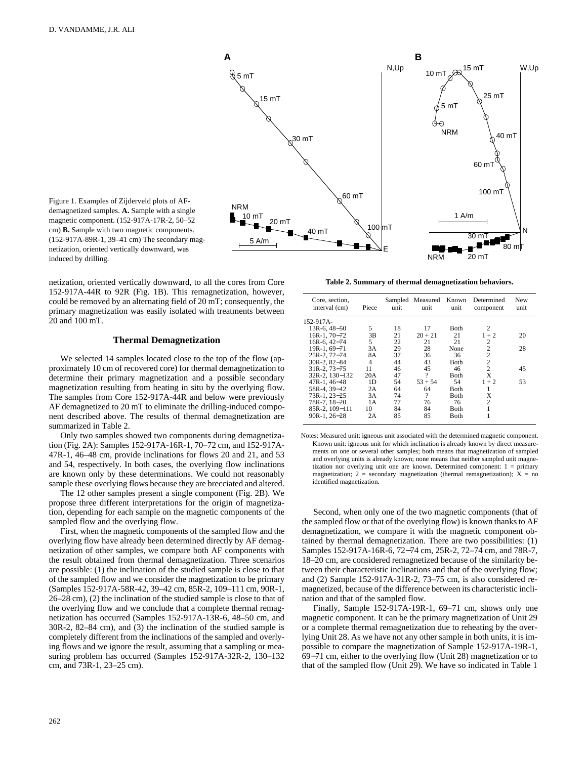

Figure 1. Examples of Zijderveld plots of AFdemagnetized samples. **A.** Sample with a single magnetic component. (152-917A-17R-2, 50–52 cm) **B.** Sample with two magnetic components. (152-917A-89R-1, 39–41 cm) The secondary magnetization, oriented vertically downward, was induced by drilling.

netization, oriented vertically downward, to all the cores from Core 152-917A-44R to 92R (Fig. 1B). This remagnetization, however, could be removed by an alternating field of 20 mT; consequently, the primary magnetization was easily isolated with treatments between 20 and 100 mT.

#### **Thermal Demagnetization**

We selected 14 samples located close to the top of the flow (approximately 10 cm of recovered core) for thermal demagnetization to determine their primary magnetization and a possible secondary magnetization resulting from heating in situ by the overlying flow. The samples from Core 152-917A-44R and below were previously AF demagnetized to 20 mT to eliminate the drilling-induced component described above. The results of thermal demagnetization are summarized in Table 2.

Only two samples showed two components during demagnetization (Fig. 2A): Samples 152-917A-16R-1, 70–72 cm, and 152-917A-47R-1, 46–48 cm, provide inclinations for flows 20 and 21, and 53 and 54, respectively. In both cases, the overlying flow inclinations are known only by these determinations. We could not reasonably sample these overlying flows because they are brecciated and altered.

The 12 other samples present a single component (Fig. 2B). We propose three different interpretations for the origin of magnetization, depending for each sample on the magnetic components of the sampled flow and the overlying flow.

First, when the magnetic components of the sampled flow and the overlying flow have already been determined directly by AF demagnetization of other samples, we compare both AF components with the result obtained from thermal demagnetization. Three scenarios are possible: (1) the inclination of the studied sample is close to that of the sampled flow and we consider the magnetization to be primary (Samples 152-917A-58R-42, 39–42 cm, 85R-2, 109–111 cm, 90R-1, 26–28 cm), (2) the inclination of the studied sample is close to that of the overlying flow and we conclude that a complete thermal remagnetization has occurred (Samples 152-917A-13R-6, 48–50 cm, and 30R-2, 82–84 cm), and (3) the inclination of the studied sample is completely different from the inclinations of the sampled and overlying flows and we ignore the result, assuming that a sampling or measuring problem has occurred (Samples 152-917A-32R-2, 130–132 cm, and 73R-1, 23–25 cm).

**Table 2. Summary of thermal demagnetization behaviors.**

| Core, section,<br>interval (cm) | Piece          | unit | Sampled Measured<br>unit | Known<br>unit | Determined<br>component | New<br>unit |
|---------------------------------|----------------|------|--------------------------|---------------|-------------------------|-------------|
| 152-917A-                       |                |      |                          |               |                         |             |
| $13R-6.48-50$                   | 5              | 18   | 17                       | Both          | 2                       |             |
| 16R-1, 70-72                    | 3B             | 21   | $20 + 21$                | 21            | $1 + 2$                 | 20          |
| $16R-6.42-74$                   | 5              | 22   | 21                       | 21            | $\overline{c}$          |             |
| 19R-1, 69-71                    | 3A             | 29   | 28                       | None          | $\overline{2}$          | 28          |
| $25R-2.72-74$                   | 8A             | 37   | 36                       | 36            | $\overline{c}$          |             |
| $30R-2.82-84$                   | $\overline{4}$ | 44   | 43                       | Both          | $\overline{2}$          |             |
| $31R - 2$ , $73 - 75$           | 11             | 46   | 45                       | 46            | $\overline{c}$          | 45          |
| 32R-2, 130-132                  | 20A            | 47   | $\gamma$                 | Both          | X                       |             |
| $47R-1, 46-48$                  | 1D             | 54   | $53 + 54$                | 54            | $1 + 2$                 | 53          |
| 58R-4, 39-42                    | 2A             | 64   | 64                       | Both          | 1                       |             |
| 73R-1, 23-25                    | 3A             | 74   | ?                        | Both          | X                       |             |
| 78R-7, 18-20                    | 1 A            | 77   | 76                       | 76            | $\overline{c}$          |             |
| 85R-2, 109-111                  | 10             | 84   | 84                       | Both          | 1                       |             |
| $90R-1.26-28$                   | 2A             | 85   | 85                       | Both          |                         |             |

Notes: Measured unit: igneous unit associated with the determined magnetic component. Known unit: igneous unit for which inclination is already known by direct measurements on one or several other samples; both means that magnetization of sampled and overlying units is already known; none means that neither sampled unit magnetization nor overlying unit one are known. Determined component: 1 = primary magnetization;  $2 =$  secondary magnetization (thermal remagnetization);  $X =$  no identified magnetization.

Second, when only one of the two magnetic components (that of the sampled flow or that of the overlying flow) is known thanks to AF demagnetization, we compare it with the magnetic component obtained by thermal demagnetization. There are two possibilities: (1) Samples 152-917A-16R-6, 72−74 cm, 25R-2, 72–74 cm, and 78R-7, 18–20 cm, are considered remagnetized because of the similarity between their characteristic inclinations and that of the overlying flow; and (2) Sample 152-917A-31R-2, 73–75 cm, is also considered remagnetized, because of the difference between its characteristic inclination and that of the sampled flow.

Finally, Sample 152-917A-19R-1, 69–71 cm, shows only one magnetic component. It can be the primary magnetization of Unit 29 or a complete thermal remagnetization due to reheating by the overlying Unit 28. As we have not any other sample in both units, it is impossible to compare the magnetization of Sample 152-917A-19R-1, 69−71 cm, either to the overlying flow (Unit 28) magnetization or to that of the sampled flow (Unit 29). We have so indicated in Table 1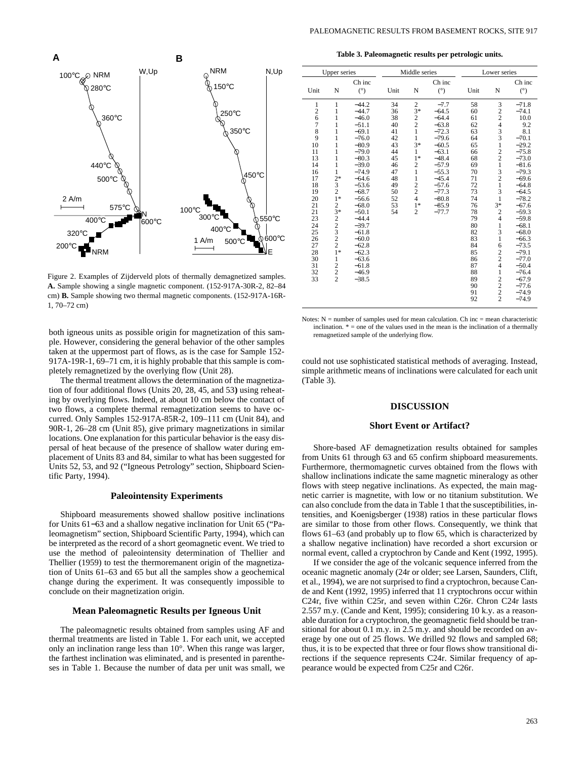

Figure 2. Examples of Zijderveld plots of thermally demagnetized samples. **A.** Sample showing a single magnetic component. (152-917A-30R-2, 82–84 cm) **B.** Sample showing two thermal magnetic components. (152-917A-16R-1, 70–72 cm)

both igneous units as possible origin for magnetization of this sample. However, considering the general behavior of the other samples taken at the uppermost part of flows, as is the case for Sample 152- 917A-19R-1, 69–71 cm, it is highly probable that this sample is completely remagnetized by the overlying flow (Unit 28).

The thermal treatment allows the determination of the magnetization of four additional flows (Units 20, 28, 45, and 53**)** using reheating by overlying flows. Indeed, at about 10 cm below the contact of two flows, a complete thermal remagnetization seems to have occurred. Only Samples 152-917A-85R-2, 109–111 cm (Unit 84), and 90R-1, 26–28 cm (Unit 85), give primary magnetizations in similar locations. One explanation for this particular behavior is the easy dispersal of heat because of the presence of shallow water during emplacement of Units 83 and 84, similar to what has been suggested for Units 52, 53, and 92 ("Igneous Petrology" section, Shipboard Scientific Party, 1994).

## **Paleointensity Experiments**

Shipboard measurements showed shallow positive inclinations for Units 61−63 and a shallow negative inclination for Unit 65 ("Paleomagnetism" section, Shipboard Scientific Party, 1994), which can be interpreted as the record of a short geomagnetic event. We tried to use the method of paleointensity determination of Thellier and Thellier (1959) to test the thermoremanent origin of the magnetization of Units 61–63 and 65 but all the samples show a geochemical change during the experiment. It was consequently impossible to conclude on their magnetization origin.

#### **Mean Paleomagnetic Results per Igneous Unit**

The paleomagnetic results obtained from samples using AF and thermal treatments are listed in Table 1. For each unit, we accepted only an inclination range less than 10°. When this range was larger, the farthest inclination was eliminated, and is presented in parentheses in Table 1. Because the number of data per unit was small, we

**Table 3. Paleomagnetic results per petrologic units.**

| <b>Upper series</b> |                                            |                    | Middle series |                                    | Lower series       |          |                                                 |                    |
|---------------------|--------------------------------------------|--------------------|---------------|------------------------------------|--------------------|----------|-------------------------------------------------|--------------------|
|                     |                                            | Ch inc             |               |                                    | Ch inc             |          |                                                 | Ch inc             |
| Unit                | N                                          | (°)                | Unit          | N                                  | $(^\circ)$         | Unit     | N                                               | (°)                |
| $\mathbf{1}$        | $\mathbf{1}$<br>$\mathbf{1}$               | $-44.2$<br>$-44.7$ | 34<br>36      | $2\overline{3}$ * 2<br>2<br>2<br>1 | $-7.7$<br>$-64.5$  | 58<br>60 | $\begin{array}{c} 3 \\ 2 \\ 2 \\ 4 \end{array}$ | $-71.8$<br>$-74.1$ |
| 2678                | $\mathbf{1}$<br>$\mathbf{1}$               | $-46.0$<br>$-51.1$ | 38<br>40      |                                    | $-64.4$<br>$-63.8$ | 61<br>62 |                                                 | 10.0<br>9.2        |
| 9                   | $\mathbf{1}$<br>$\mathbf{1}$               | $-69.1$<br>$-76.0$ | 41<br>42      | $\mathbf{1}$                       | $-72.3$<br>$-79.6$ | 63<br>64 | $\frac{3}{3}$                                   | 8.1<br>$-70.1$     |
| 10<br>11            | 1<br>1                                     | $-80.9$<br>$-79.0$ | 43<br>44      | $3*$<br>$\mathbf{1}$               | $-60.5$<br>$-63.1$ | 65<br>66 | $\mathbf{1}$                                    | $-29.2$<br>$-75.8$ |
| 13                  | 1                                          | $-80.3$            | 45            | $1*$                               | $-48.4$            | 68       | $\frac{2}{2}$                                   | $-73.0$            |
| 14<br>16            | 1<br>$\mathbf{1}$                          | $-39.0$<br>$-74.9$ | 46<br>47      | $\frac{2}{1}$                      | $-57.9$<br>$-55.3$ | 69<br>70 | $\mathbf{1}$<br>$\frac{3}{2}$                   | $-81.6$<br>$-79.3$ |
| 17<br>18            | $2*$<br>$\frac{3}{2}$                      | $-64.6$<br>$-53.6$ | 48<br>49      | $\mathbf{1}$<br>$\frac{2}{2}$      | $-45.4$<br>$-57.6$ | 71<br>72 | $\mathbf{1}$                                    | $-69.6$<br>$-64.8$ |
| 19<br>20            | $1*$                                       | $-68.7$<br>$-56.6$ | 50<br>52      | $\overline{4}$                     | $-77.3$<br>$-80.8$ | 73<br>74 | 3<br>1                                          | $-64.5$<br>$-78.2$ |
| 21<br>21            | $rac{2}{3}$                                | $-68.0$<br>$-50.1$ | 53<br>54      | $1*$<br>$\overline{c}$             | $-85.9$<br>$-77.7$ | 76<br>78 | $3*$<br>$\overline{\mathbf{c}}$                 | $-67.6$<br>$-59.3$ |
| 23<br>24            |                                            | $-44.4$<br>$-39.7$ |               |                                    |                    | 79<br>80 | $\overline{4}$<br>$\mathbf{1}$                  | $-59.8$<br>$-68.1$ |
| 25                  |                                            | $-61.8$            |               |                                    |                    | 82       | 3                                               | $-68.0$            |
| 26<br>27            | $2$<br>$3$<br>$2$<br>$2$<br>$1*$           | $-60.0$<br>$-62.8$ |               |                                    |                    | 83<br>84 | $\mathbf{1}$<br>6                               | $-66.3$<br>$-73.5$ |
| 28<br>30            | $\mathbf{1}$                               | $-62.3$<br>$-63.6$ |               |                                    |                    | 85<br>86 | $\frac{2}{2}$                                   | $-79.1$<br>$-77.0$ |
| 31<br>32            | $\begin{array}{c} 2 \\ 2 \\ 2 \end{array}$ | $-61.8$<br>$-46.9$ |               |                                    |                    | 87<br>88 | $\overline{\mathbf{4}}$<br>$\mathbf{1}$         | $-50.4$<br>$-76.4$ |
| 33                  |                                            | $-38.5$            |               |                                    |                    | 89<br>90 | $\frac{2}{2}$                                   | $-67.9$<br>$-77.6$ |
|                     |                                            |                    |               |                                    |                    | 91<br>92 | $\frac{2}{2}$                                   | $-74.9$<br>$-74.9$ |
|                     |                                            |                    |               |                                    |                    |          |                                                 |                    |

Notes:  $N =$  number of samples used for mean calculation. Ch inc = mean characteristic inclination.  $* =$  one of the values used in the mean is the inclination of a thermally remagnetized sample of the underlying flow.

could not use sophisticated statistical methods of averaging. Instead, simple arithmetic means of inclinations were calculated for each unit (Table 3).

### **DISCUSSION**

#### **Short Event or Artifact?**

Shore-based AF demagnetization results obtained for samples from Units 61 through 63 and 65 confirm shipboard measurements. Furthermore, thermomagnetic curves obtained from the flows with shallow inclinations indicate the same magnetic mineralogy as other flows with steep negative inclinations. As expected, the main magnetic carrier is magnetite, with low or no titanium substitution. We can also conclude from the data in Table 1 that the susceptibilities, intensities, and Koenigsberger (1938) ratios in these particular flows are similar to those from other flows. Consequently, we think that flows 61–63 (and probably up to flow 65, which is characterized by a shallow negative inclination) have recorded a short excursion or normal event, called a cryptochron by Cande and Kent (1992, 1995).

If we consider the age of the volcanic sequence inferred from the oceanic magnetic anomaly (24r or older; see Larsen, Saunders, Clift, et al., 1994), we are not surprised to find a cryptochron, because Cande and Kent (1992, 1995) inferred that 11 cryptochrons occur within C24r, five within C25r, and seven within C26r. Chron C24r lasts 2.557 m.y. (Cande and Kent, 1995); considering 10 k.y. as a reasonable duration for a cryptochron, the geomagnetic field should be transitional for about 0.1 m.y. in 2.5 m.y. and should be recorded on average by one out of 25 flows. We drilled 92 flows and sampled 68; thus, it is to be expected that three or four flows show transitional directions if the sequence represents C24r. Similar frequency of appearance would be expected from C25r and C26r.